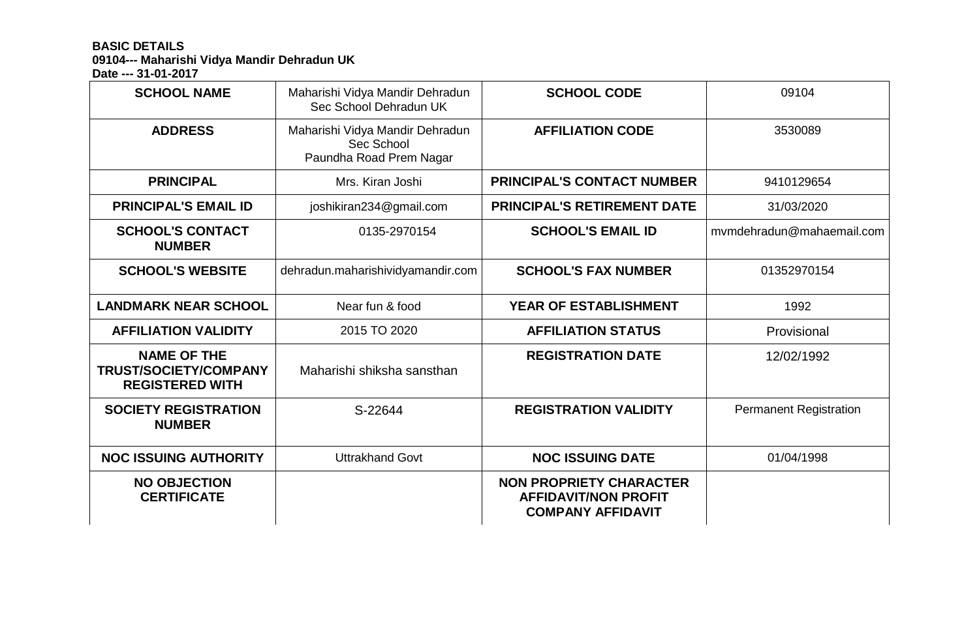**BASIC DETAILS 09104--- Maharishi Vidya Mandir Dehradun UK Date --- 31-01-2017**

| <b>SCHOOL NAME</b>                                                    | Maharishi Vidya Mandir Dehradun<br>Sec School Dehradun UK                       | <b>SCHOOL CODE</b>                                                                        |                               |
|-----------------------------------------------------------------------|---------------------------------------------------------------------------------|-------------------------------------------------------------------------------------------|-------------------------------|
| <b>ADDRESS</b>                                                        | Maharishi Vidya Mandir Dehradun<br><b>Sec School</b><br>Paundha Road Prem Nagar | <b>AFFILIATION CODE</b>                                                                   | 3530089                       |
| <b>PRINCIPAL</b>                                                      | Mrs. Kiran Joshi                                                                | <b>PRINCIPAL'S CONTACT NUMBER</b>                                                         | 9410129654                    |
| <b>PRINCIPAL'S EMAIL ID</b>                                           | joshikiran234@gmail.com                                                         | <b>PRINCIPAL'S RETIREMENT DATE</b>                                                        | 31/03/2020                    |
| <b>SCHOOL'S CONTACT</b><br><b>NUMBER</b>                              | 0135-2970154                                                                    | <b>SCHOOL'S EMAIL ID</b>                                                                  | mymdehradun@mahaemail.com     |
| <b>SCHOOL'S WEBSITE</b>                                               | dehradun.maharishividyamandir.com                                               | <b>SCHOOL'S FAX NUMBER</b>                                                                | 01352970154                   |
| <b>LANDMARK NEAR SCHOOL</b>                                           | Near fun & food                                                                 | <b>YEAR OF ESTABLISHMENT</b>                                                              | 1992                          |
| <b>AFFILIATION VALIDITY</b>                                           | 2015 TO 2020                                                                    | <b>AFFILIATION STATUS</b>                                                                 | Provisional                   |
| <b>NAME OF THE</b><br>TRUST/SOCIETY/COMPANY<br><b>REGISTERED WITH</b> | Maharishi shiksha sansthan                                                      | <b>REGISTRATION DATE</b>                                                                  | 12/02/1992                    |
| <b>SOCIETY REGISTRATION</b><br><b>NUMBER</b>                          | S-22644                                                                         | <b>REGISTRATION VALIDITY</b>                                                              | <b>Permanent Registration</b> |
| <b>NOC ISSUING AUTHORITY</b>                                          | <b>Uttrakhand Govt</b>                                                          | <b>NOC ISSUING DATE</b>                                                                   | 01/04/1998                    |
| <b>NO OBJECTION</b><br><b>CERTIFICATE</b>                             |                                                                                 | <b>NON PROPRIETY CHARACTER</b><br><b>AFFIDAVIT/NON PROFIT</b><br><b>COMPANY AFFIDAVIT</b> |                               |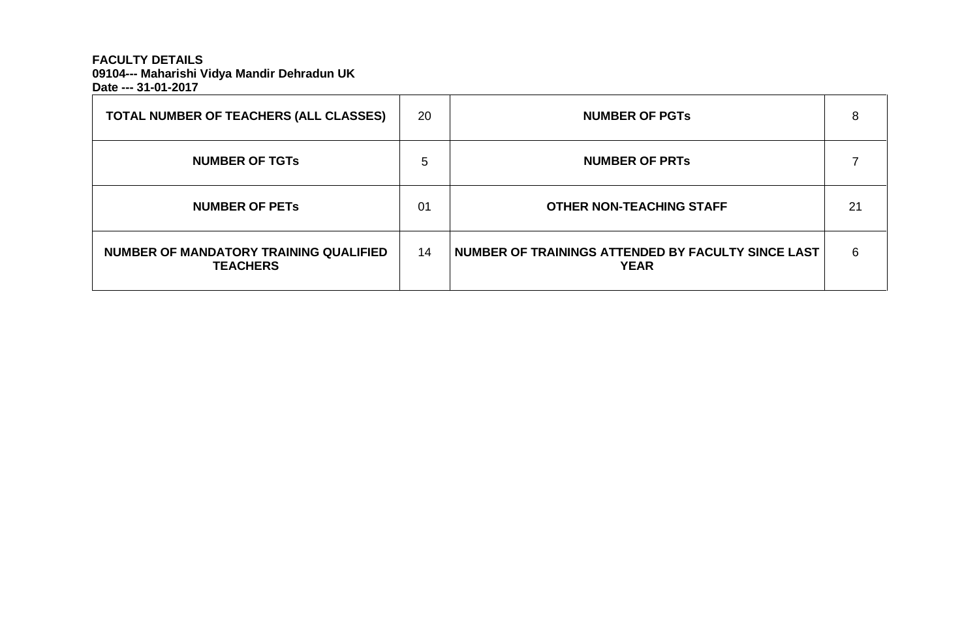### **FACULTY DETAILS 09104--- Maharishi Vidya Mandir Dehradun UK Date --- 31-01-2017**

| <b>TOTAL NUMBER OF TEACHERS (ALL CLASSES)</b>             |    | <b>NUMBER OF PGTS</b>                                             | 8  |
|-----------------------------------------------------------|----|-------------------------------------------------------------------|----|
| <b>NUMBER OF TGTS</b>                                     | 5  | <b>NUMBER OF PRTS</b>                                             |    |
| <b>NUMBER OF PETS</b>                                     | 01 | <b>OTHER NON-TEACHING STAFF</b>                                   | 21 |
| NUMBER OF MANDATORY TRAINING QUALIFIED<br><b>TEACHERS</b> | 14 | NUMBER OF TRAININGS ATTENDED BY FACULTY SINCE LAST<br><b>YEAR</b> | 6  |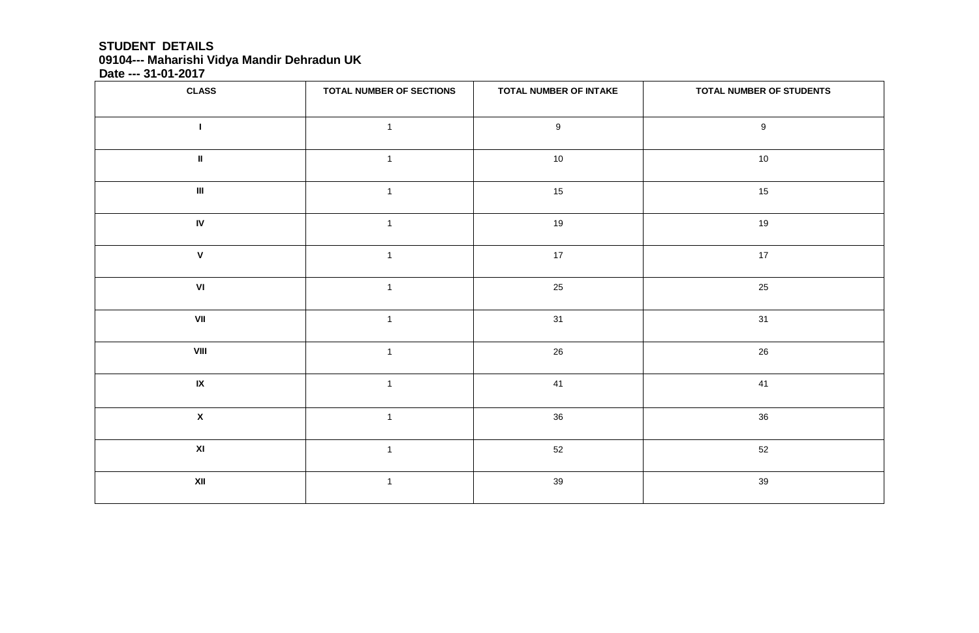### **STUDENT DETAILS 09104--- Maharishi Vidya Mandir Dehradun UK Date --- 31-01-2017**

| <b>CLASS</b>                       | TOTAL NUMBER OF SECTIONS | TOTAL NUMBER OF INTAKE | TOTAL NUMBER OF STUDENTS |
|------------------------------------|--------------------------|------------------------|--------------------------|
|                                    | $\mathbf 1$              | $9\,$                  | 9                        |
| $\mathbf{II}$                      | $\mathbf{1}$             | 10                     | 10                       |
| $\ensuremath{\mathsf{III}}\xspace$ | $\overline{1}$           | 15                     | 15                       |
| $\mathsf{IV}$                      | $\mathbf{1}$             | 19                     | 19                       |
| $\mathsf{V}$                       | $\mathbf{1}$             | 17                     | 17                       |
| VI                                 | $\mathbf 1$              | 25                     | 25                       |
| VI                                 | $\mathbf{1}$             | 31                     | 31                       |
| <b>VIII</b>                        | $\overline{1}$           | 26                     | 26                       |
| $\mathsf{I} \mathsf{X}$            | $\mathbf 1$              | 41                     | 41                       |
| $\boldsymbol{X}$                   | $\overline{1}$           | 36                     | 36                       |
| XI                                 | $\mathbf{1}$             | 52                     | 52                       |
| <b>XII</b>                         | $\mathbf{1}$             | 39                     | 39                       |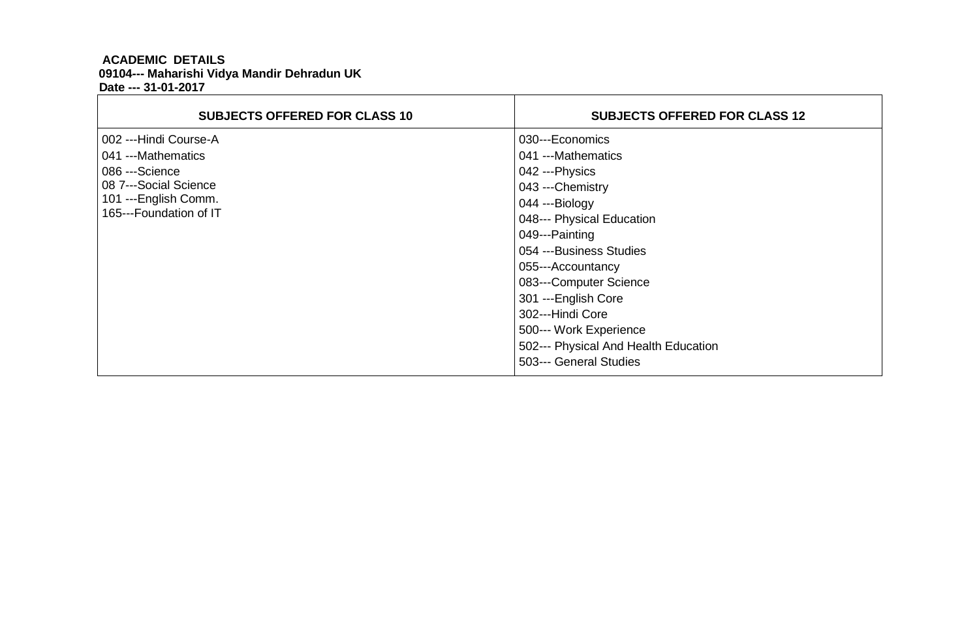### **ACADEMIC DETAILS 09104--- Maharishi Vidya Mandir Dehradun UK Date --- 31-01-2017**

| <b>SUBJECTS OFFERED FOR CLASS 10</b> | <b>SUBJECTS OFFERED</b>              |
|--------------------------------------|--------------------------------------|
| 002 ---Hindi Course-A                | 030---Economics                      |
| 041 --- Mathematics                  | 041 --- Mathematics                  |
| 086 --- Science                      | 042 --- Physics                      |
| 08 7---Social Science                | 043 --- Chemistry                    |
| 101 ---English Comm.                 | 044 ---Biology                       |
| 165---Foundation of IT               | 048--- Physical Education            |
|                                      | 049---Painting                       |
|                                      | 054 ---Business Studies              |
|                                      | 055---Accountancy                    |
|                                      | 083---Computer Science               |
|                                      | 301 ---English Core                  |
|                                      | 302---Hindi Core                     |
|                                      | 500--- Work Experience               |
|                                      | 502--- Physical And Health Education |
|                                      | 503--- General Studies               |

# **FOR CLASS 12**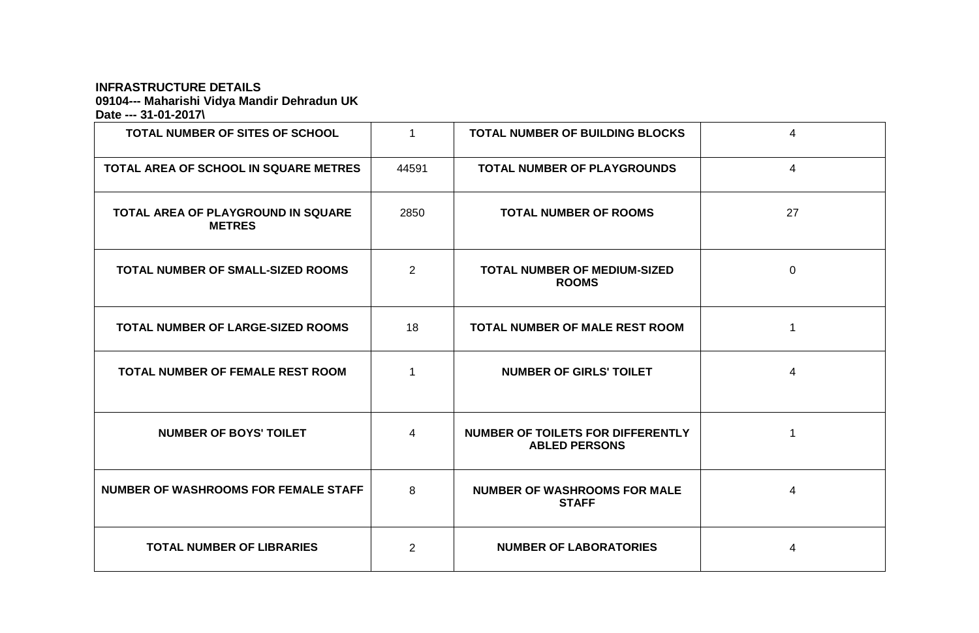### **INFRASTRUCTURE DETAILS 09104--- Maharishi Vidya Mandir Dehradun UK Date --- 31-01-2017\**

| <b>TOTAL NUMBER OF SITES OF SCHOOL</b>                     | 1              | <b>TOTAL NUMBER OF BUILDING BLOCKS</b>                    | 4              |
|------------------------------------------------------------|----------------|-----------------------------------------------------------|----------------|
| TOTAL AREA OF SCHOOL IN SQUARE METRES                      | 44591          | <b>TOTAL NUMBER OF PLAYGROUNDS</b>                        | $\overline{4}$ |
| <b>TOTAL AREA OF PLAYGROUND IN SQUARE</b><br><b>METRES</b> | 2850           | <b>TOTAL NUMBER OF ROOMS</b>                              | 27             |
| <b>TOTAL NUMBER OF SMALL-SIZED ROOMS</b>                   | 2              | <b>TOTAL NUMBER OF MEDIUM-SIZED</b><br><b>ROOMS</b>       | $\overline{0}$ |
| <b>TOTAL NUMBER OF LARGE-SIZED ROOMS</b>                   | 18             | <b>TOTAL NUMBER OF MALE REST ROOM</b>                     |                |
| <b>TOTAL NUMBER OF FEMALE REST ROOM</b>                    |                | <b>NUMBER OF GIRLS' TOILET</b>                            | 4              |
| <b>NUMBER OF BOYS' TOILET</b>                              | $\overline{4}$ | NUMBER OF TOILETS FOR DIFFERENTLY<br><b>ABLED PERSONS</b> |                |
| <b>NUMBER OF WASHROOMS FOR FEMALE STAFF</b>                | 8              | <b>NUMBER OF WASHROOMS FOR MALE</b><br><b>STAFF</b>       | 4              |
| <b>TOTAL NUMBER OF LIBRARIES</b>                           | $\overline{2}$ | <b>NUMBER OF LABORATORIES</b>                             | 4              |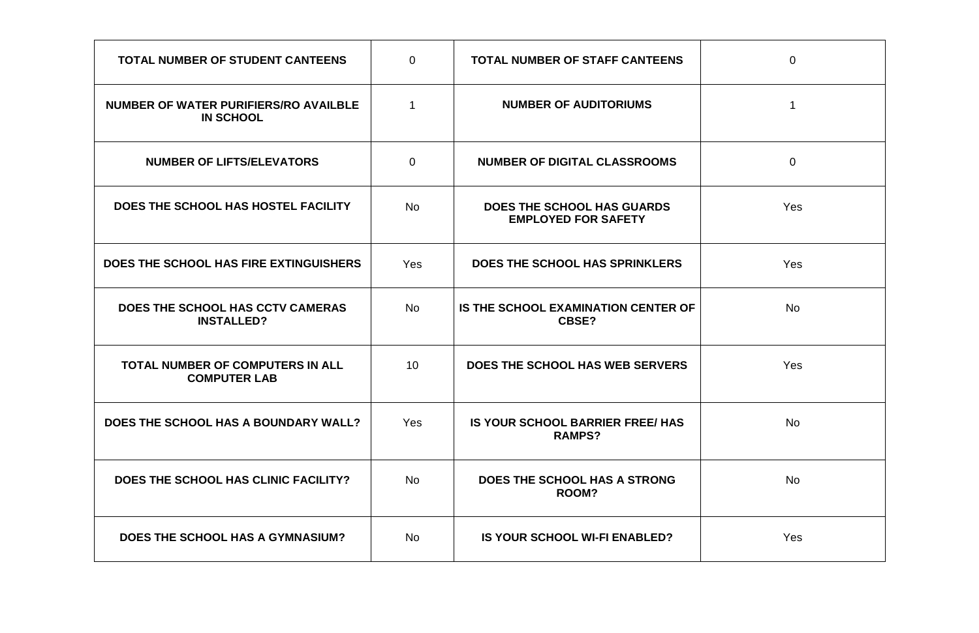| <b>TOTAL NUMBER OF STUDENT CANTEENS</b>                          | $\overline{0}$  | <b>TOTAL NUMBER OF STAFF CANTEENS</b>                           | $\overline{0}$ |
|------------------------------------------------------------------|-----------------|-----------------------------------------------------------------|----------------|
| <b>NUMBER OF WATER PURIFIERS/RO AVAILBLE</b><br><b>IN SCHOOL</b> |                 | <b>NUMBER OF AUDITORIUMS</b>                                    |                |
| <b>NUMBER OF LIFTS/ELEVATORS</b>                                 | $\overline{0}$  | <b>NUMBER OF DIGITAL CLASSROOMS</b>                             | $\overline{0}$ |
| DOES THE SCHOOL HAS HOSTEL FACILITY                              | <b>No</b>       | <b>DOES THE SCHOOL HAS GUARDS</b><br><b>EMPLOYED FOR SAFETY</b> | Yes            |
| DOES THE SCHOOL HAS FIRE EXTINGUISHERS                           | Yes             | DOES THE SCHOOL HAS SPRINKLERS                                  | Yes            |
| DOES THE SCHOOL HAS CCTV CAMERAS<br><b>INSTALLED?</b>            | <b>No</b>       | <b>IS THE SCHOOL EXAMINATION CENTER OF</b><br>CBSE?             | <b>No</b>      |
| TOTAL NUMBER OF COMPUTERS IN ALL<br><b>COMPUTER LAB</b>          | 10 <sup>°</sup> | <b>DOES THE SCHOOL HAS WEB SERVERS</b>                          | <b>Yes</b>     |
| DOES THE SCHOOL HAS A BOUNDARY WALL?                             | Yes             | <b>IS YOUR SCHOOL BARRIER FREE/ HAS</b><br><b>RAMPS?</b>        | <b>No</b>      |
| DOES THE SCHOOL HAS CLINIC FACILITY?                             | <b>No</b>       | DOES THE SCHOOL HAS A STRONG<br><b>ROOM?</b>                    | <b>No</b>      |
| DOES THE SCHOOL HAS A GYMNASIUM?                                 | <b>No</b>       | <b>IS YOUR SCHOOL WI-FI ENABLED?</b>                            | Yes            |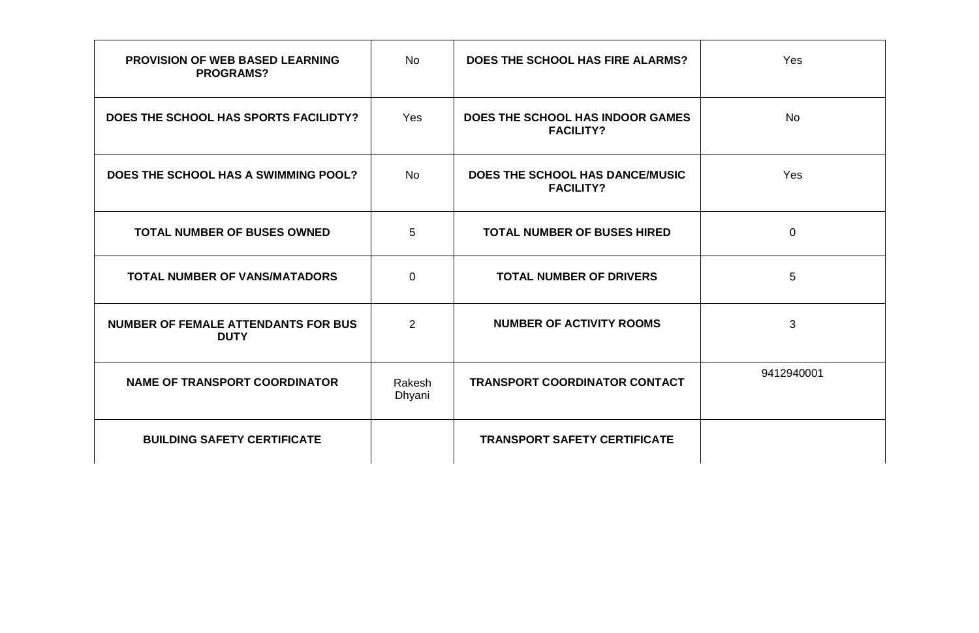| <b>PROVISION OF WEB BASED LEARNING</b><br><b>PROGRAMS?</b> | No               | <b>DOES THE SCHOOL HAS FIRE ALARMS?</b>              | Yes            |
|------------------------------------------------------------|------------------|------------------------------------------------------|----------------|
| DOES THE SCHOOL HAS SPORTS FACILIDTY?                      | Yes              | DOES THE SCHOOL HAS INDOOR GAMES<br><b>FACILITY?</b> | <b>No</b>      |
| <b>DOES THE SCHOOL HAS A SWIMMING POOL?</b>                | No               | DOES THE SCHOOL HAS DANCE/MUSIC<br><b>FACILITY?</b>  | Yes            |
| <b>TOTAL NUMBER OF BUSES OWNED</b>                         | 5                | <b>TOTAL NUMBER OF BUSES HIRED</b>                   | $\overline{0}$ |
| <b>TOTAL NUMBER OF VANS/MATADORS</b>                       | $\overline{0}$   | <b>TOTAL NUMBER OF DRIVERS</b>                       | 5              |
| <b>NUMBER OF FEMALE ATTENDANTS FOR BUS</b><br><b>DUTY</b>  | 2                | <b>NUMBER OF ACTIVITY ROOMS</b>                      | 3 <sup>1</sup> |
| <b>NAME OF TRANSPORT COORDINATOR</b>                       | Rakesh<br>Dhyani | <b>TRANSPORT COORDINATOR CONTACT</b>                 | 9412940001     |
| <b>BUILDING SAFETY CERTIFICATE</b>                         |                  | <b>TRANSPORT SAFETY CERTIFICATE</b>                  |                |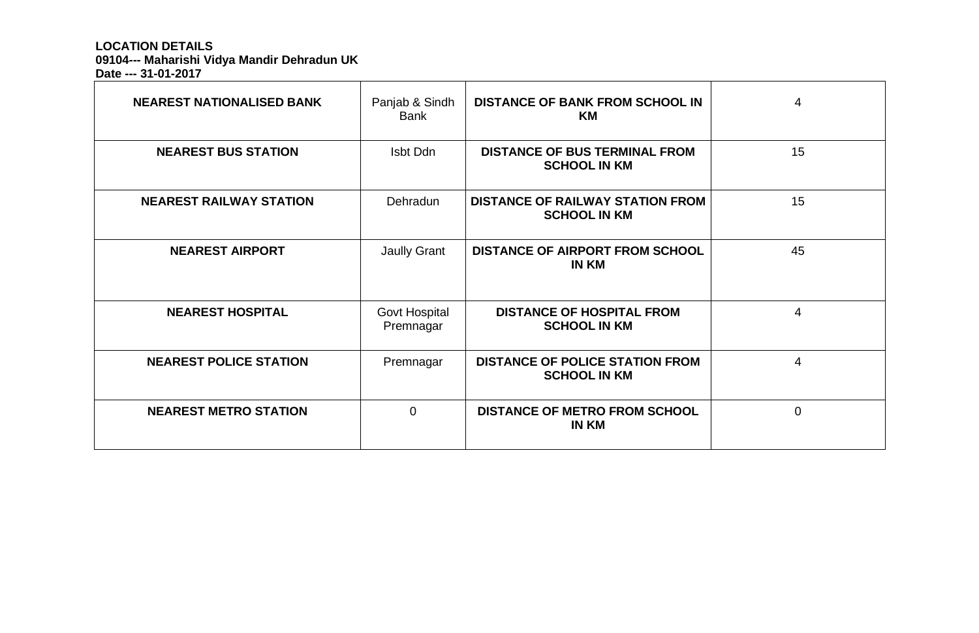### **LOCATION DETAILS 09104--- Maharishi Vidya Mandir Dehradun UK Date --- 31-01-2017**

| <b>NEAREST NATIONALISED BANK</b> | Panjab & Sindh<br><b>Bank</b>     | <b>DISTANCE OF BANK FROM SCHOOL IN</b><br>KM                   | $\overline{4}$ |
|----------------------------------|-----------------------------------|----------------------------------------------------------------|----------------|
| <b>NEAREST BUS STATION</b>       | Isbt Ddn                          | <b>DISTANCE OF BUS TERMINAL FROM</b><br><b>SCHOOL IN KM</b>    | 15             |
| <b>NEAREST RAILWAY STATION</b>   | Dehradun                          | <b>DISTANCE OF RAILWAY STATION FROM</b><br><b>SCHOOL IN KM</b> | 15             |
| <b>NEAREST AIRPORT</b>           | <b>Jaully Grant</b>               | <b>DISTANCE OF AIRPORT FROM SCHOOL</b><br>IN KM                | 45             |
| <b>NEAREST HOSPITAL</b>          | <b>Govt Hospital</b><br>Premnagar | <b>DISTANCE OF HOSPITAL FROM</b><br><b>SCHOOL IN KM</b>        | 4              |
| <b>NEAREST POLICE STATION</b>    | Premnagar                         | <b>DISTANCE OF POLICE STATION FROM</b><br><b>SCHOOL IN KM</b>  | $\overline{4}$ |
| <b>NEAREST METRO STATION</b>     | $\overline{O}$                    | <b>DISTANCE OF METRO FROM SCHOOL</b><br>IN KM                  | $\Omega$       |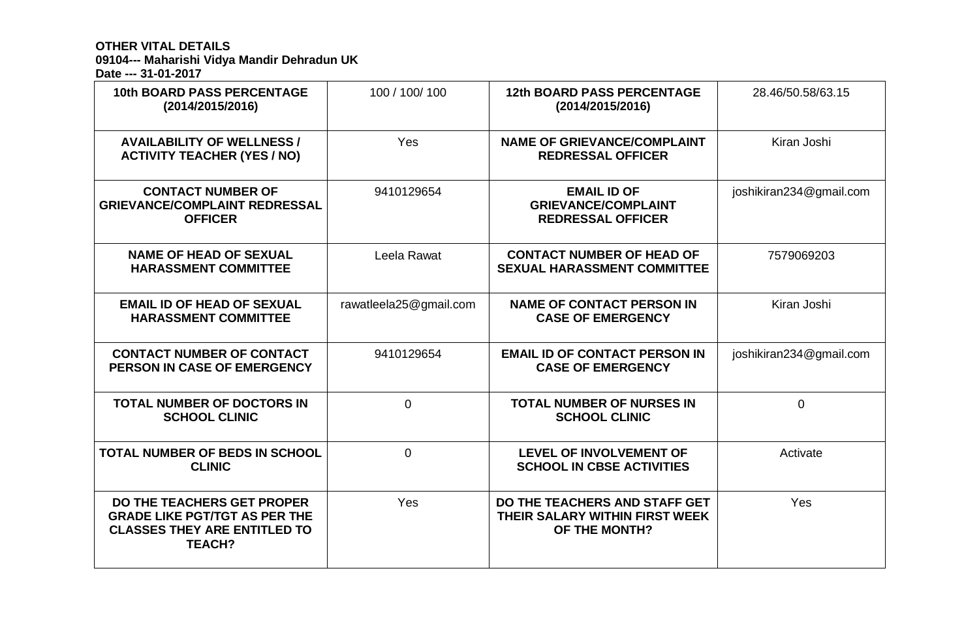## **OTHER VITAL DETAILS**

#### **09104--- Maharishi Vidya Mandir Dehradun UK**

 **Date --- 31-01-2017**

| <b>10th BOARD PASS PERCENTAGE</b><br>(2014/2015/2016)                                                                      | 100 / 100 / 100        | <b>12th BOARD PASS PERCENTAGE</b><br>(2014/2015/2016)                                   | 28.46/50.58/63.15       |
|----------------------------------------------------------------------------------------------------------------------------|------------------------|-----------------------------------------------------------------------------------------|-------------------------|
| <b>AVAILABILITY OF WELLNESS /</b><br><b>ACTIVITY TEACHER (YES / NO)</b>                                                    | <b>Yes</b>             | <b>NAME OF GRIEVANCE/COMPLAINT</b><br><b>REDRESSAL OFFICER</b>                          | Kiran Joshi             |
| <b>CONTACT NUMBER OF</b><br><b>GRIEVANCE/COMPLAINT REDRESSAL</b><br><b>OFFICER</b>                                         | 9410129654             | <b>EMAIL ID OF</b><br><b>GRIEVANCE/COMPLAINT</b><br><b>REDRESSAL OFFICER</b>            | joshikiran234@gmail.com |
| <b>NAME OF HEAD OF SEXUAL</b><br><b>HARASSMENT COMMITTEE</b>                                                               | Leela Rawat            | <b>CONTACT NUMBER OF HEAD OF</b><br><b>SEXUAL HARASSMENT COMMITTEE</b>                  | 7579069203              |
| <b>EMAIL ID OF HEAD OF SEXUAL</b><br><b>HARASSMENT COMMITTEE</b>                                                           | rawatleela25@gmail.com | <b>NAME OF CONTACT PERSON IN</b><br><b>CASE OF EMERGENCY</b>                            | Kiran Joshi             |
| <b>CONTACT NUMBER OF CONTACT</b><br>PERSON IN CASE OF EMERGENCY                                                            | 9410129654             | <b>EMAIL ID OF CONTACT PERSON IN</b><br><b>CASE OF EMERGENCY</b>                        | joshikiran234@gmail.com |
| <b>TOTAL NUMBER OF DOCTORS IN</b><br><b>SCHOOL CLINIC</b>                                                                  | $\overline{0}$         | <b>TOTAL NUMBER OF NURSES IN</b><br><b>SCHOOL CLINIC</b>                                | $\overline{0}$          |
| <b>TOTAL NUMBER OF BEDS IN SCHOOL</b><br><b>CLINIC</b>                                                                     | $\Omega$               | <b>LEVEL OF INVOLVEMENT OF</b><br><b>SCHOOL IN CBSE ACTIVITIES</b>                      | Activate                |
| DO THE TEACHERS GET PROPER<br><b>GRADE LIKE PGT/TGT AS PER THE</b><br><b>CLASSES THEY ARE ENTITLED TO</b><br><b>TEACH?</b> | Yes                    | DO THE TEACHERS AND STAFF GET<br>THEIR SALARY WITHIN FIRST WEEK<br><b>OF THE MONTH?</b> | Yes                     |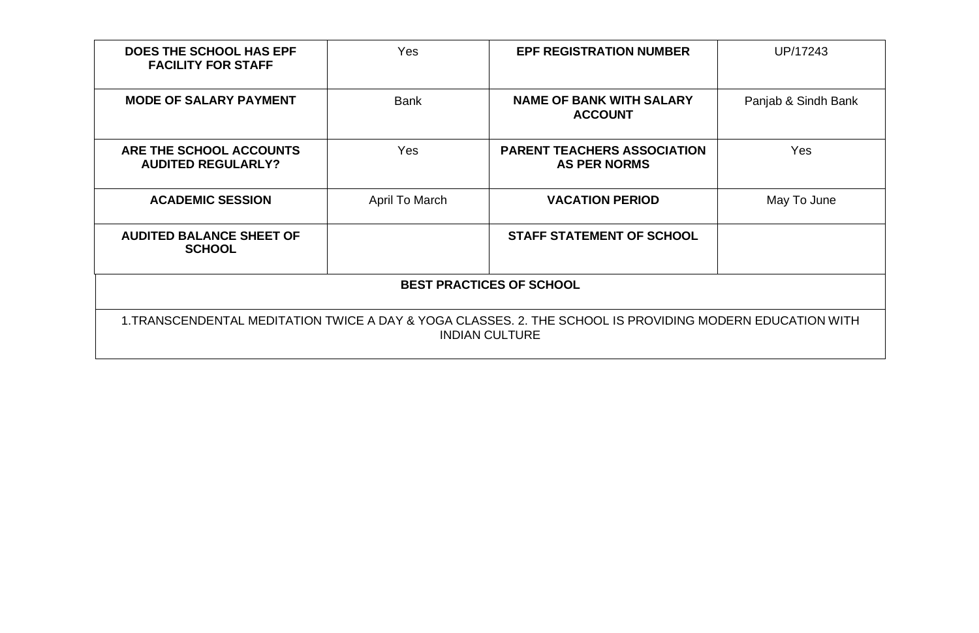| <b>DOES THE SCHOOL HAS EPF</b><br><b>FACILITY FOR STAFF</b>                                                                       | <b>Yes</b>            | <b>EPF REGISTRATION NUMBER</b>                            | UP/17243            |  |  |
|-----------------------------------------------------------------------------------------------------------------------------------|-----------------------|-----------------------------------------------------------|---------------------|--|--|
| <b>MODE OF SALARY PAYMENT</b>                                                                                                     | <b>Bank</b>           | <b>NAME OF BANK WITH SALARY</b><br><b>ACCOUNT</b>         | Panjab & Sindh Bank |  |  |
| ARE THE SCHOOL ACCOUNTS<br><b>AUDITED REGULARLY?</b>                                                                              | <b>Yes</b>            | <b>PARENT TEACHERS ASSOCIATION</b><br><b>AS PER NORMS</b> | <b>Yes</b>          |  |  |
| <b>ACADEMIC SESSION</b>                                                                                                           | <b>April To March</b> | <b>VACATION PERIOD</b>                                    | May To June         |  |  |
| <b>AUDITED BALANCE SHEET OF</b><br><b>SCHOOL</b>                                                                                  |                       | <b>STAFF STATEMENT OF SCHOOL</b>                          |                     |  |  |
| <b>BEST PRACTICES OF SCHOOL</b>                                                                                                   |                       |                                                           |                     |  |  |
| 1.TRANSCENDENTAL MEDITATION TWICE A DAY & YOGA CLASSES. 2. THE SCHOOL IS PROVIDING MODERN EDUCATION WITH<br><b>INDIAN CULTURE</b> |                       |                                                           |                     |  |  |